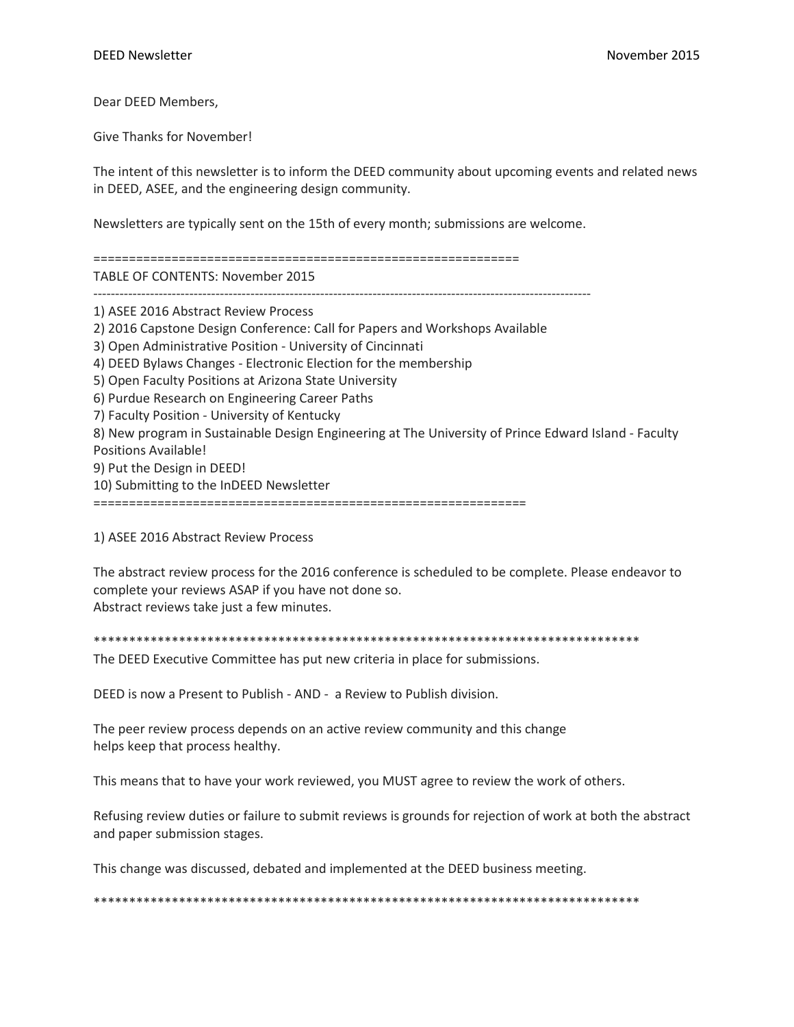Dear DEED Members,

Give Thanks for November!

The intent of this newsletter is to inform the DEED community about upcoming events and related news in DEED, ASEE, and the engineering design community.

Newsletters are typically sent on the 15th of every month; submissions are welcome.

============================================================ TABLE OF CONTENTS: November 2015

------------------------------------------------------------------------------------------------------------------

1) ASEE 2016 Abstract Review Process 2) 2016 Capstone Design Conference: Call for Papers and Workshops Available 3) Open Administrative Position - University of Cincinnati 4) DEED Bylaws Changes - Electronic Election for the membership 5) Open Faculty Positions at Arizona State University 6) Purdue Research on Engineering Career Paths 7) Faculty Position - University of Kentucky 8) New program in Sustainable Design Engineering at The University of Prince Edward Island - Faculty Positions Available! 9) Put the Design in DEED! 10) Submitting to the InDEED Newsletter

=============================================================

1) ASEE 2016 Abstract Review Process

The abstract review process for the 2016 conference is scheduled to be complete. Please endeavor to complete your reviews ASAP if you have not done so. Abstract reviews take just a few minutes.

\*\*\*\*\*\*\*\*\*\*\*\*\*\*\*\*\*\*\*\*\*\*\*\*\*\*\*\*\*\*\*\*\*\*\*\*\*\*\*\*\*\*\*\*\*\*\*\*\*\*\*\*\*\*\*\*\*\*\*\*\*\*\*\*\*\*\*\*\*\*\*\*\*\*\*\*\*

The DEED Executive Committee has put new criteria in place for submissions.

DEED is now a Present to Publish - AND - a Review to Publish division.

The peer review process depends on an active review community and this change helps keep that process healthy.

This means that to have your work reviewed, you MUST agree to review the work of others.

Refusing review duties or failure to submit reviews is grounds for rejection of work at both the abstract and paper submission stages.

This change was discussed, debated and implemented at the DEED business meeting.

\*\*\*\*\*\*\*\*\*\*\*\*\*\*\*\*\*\*\*\*\*\*\*\*\*\*\*\*\*\*\*\*\*\*\*\*\*\*\*\*\*\*\*\*\*\*\*\*\*\*\*\*\*\*\*\*\*\*\*\*\*\*\*\*\*\*\*\*\*\*\*\*\*\*\*\*\*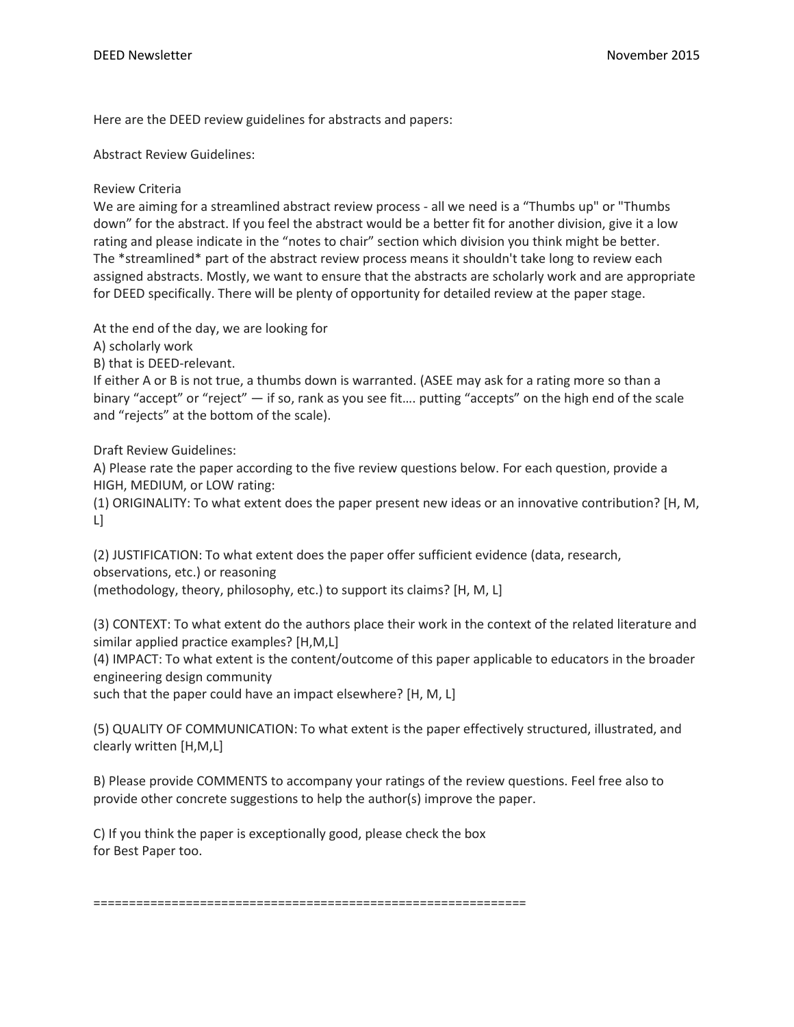Here are the DEED review guidelines for abstracts and papers:

Abstract Review Guidelines:

Review Criteria

We are aiming for a streamlined abstract review process - all we need is a "Thumbs up" or "Thumbs down" for the abstract. If you feel the abstract would be a better fit for another division, give it a low rating and please indicate in the "notes to chair" section which division you think might be better. The \*streamlined\* part of the abstract review process means it shouldn't take long to review each assigned abstracts. Mostly, we want to ensure that the abstracts are scholarly work and are appropriate for DEED specifically. There will be plenty of opportunity for detailed review at the paper stage.

At the end of the day, we are looking for

A) scholarly work

B) that is DEED-relevant.

If either A or B is not true, a thumbs down is warranted. (ASEE may ask for a rating more so than a binary "accept" or "reject" — if so, rank as you see fit…. putting "accepts" on the high end of the scale and "rejects" at the bottom of the scale).

Draft Review Guidelines:

A) Please rate the paper according to the five review questions below. For each question, provide a HIGH, MEDIUM, or LOW rating:

(1) ORIGINALITY: To what extent does the paper present new ideas or an innovative contribution? [H, M, L]

(2) JUSTIFICATION: To what extent does the paper offer sufficient evidence (data, research, observations, etc.) or reasoning (methodology, theory, philosophy, etc.) to support its claims? [H, M, L]

(3) CONTEXT: To what extent do the authors place their work in the context of the related literature and similar applied practice examples? [H,M,L]

(4) IMPACT: To what extent is the content/outcome of this paper applicable to educators in the broader engineering design community

such that the paper could have an impact elsewhere? [H, M, L]

(5) QUALITY OF COMMUNICATION: To what extent is the paper effectively structured, illustrated, and clearly written [H,M,L]

B) Please provide COMMENTS to accompany your ratings of the review questions. Feel free also to provide other concrete suggestions to help the author(s) improve the paper.

C) If you think the paper is exceptionally good, please check the box for Best Paper too.

=============================================================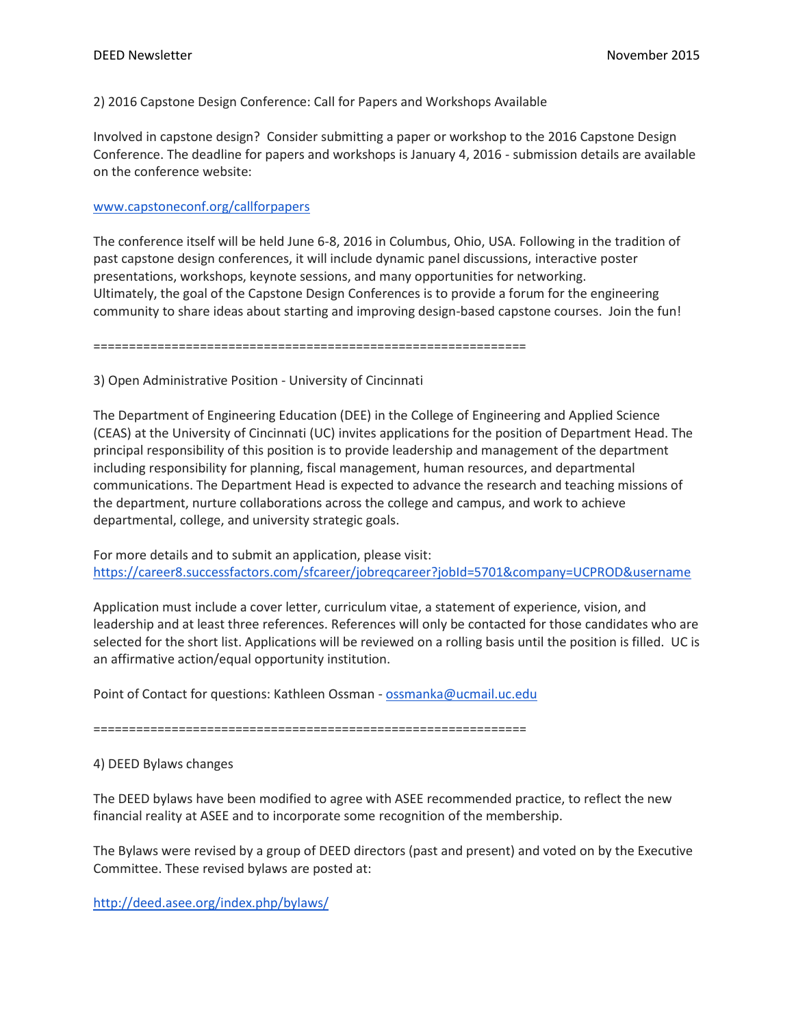## 2) 2016 Capstone Design Conference: Call for Papers and Workshops Available

Involved in capstone design? Consider submitting a paper or workshop to the 2016 Capstone Design Conference. The deadline for papers and workshops is January 4, 2016 - submission details are available on the conference website:

### [www.capstoneconf.org/callforpapers](http://www.capstoneconf.org/callforpapers)

The conference itself will be held June 6-8, 2016 in Columbus, Ohio, USA. Following in the tradition of past capstone design conferences, it will include dynamic panel discussions, interactive poster presentations, workshops, keynote sessions, and many opportunities for networking. Ultimately, the goal of the Capstone Design Conferences is to provide a forum for the engineering community to share ideas about starting and improving design-based capstone courses. Join the fun!

=============================================================

3) Open Administrative Position - University of Cincinnati

The Department of Engineering Education (DEE) in the College of Engineering and Applied Science (CEAS) at the University of Cincinnati (UC) invites applications for the position of Department Head. The principal responsibility of this position is to provide leadership and management of the department including responsibility for planning, fiscal management, human resources, and departmental communications. The Department Head is expected to advance the research and teaching missions of the department, nurture collaborations across the college and campus, and work to achieve departmental, college, and university strategic goals.

For more details and to submit an application, please visit: <https://career8.successfactors.com/sfcareer/jobreqcareer?jobId=5701&company=UCPROD&username>

Application must include a cover letter, curriculum vitae, a statement of experience, vision, and leadership and at least three references. References will only be contacted for those candidates who are selected for the short list. Applications will be reviewed on a rolling basis until the position is filled. UC is an affirmative action/equal opportunity institution.

Point of Contact for questions: Kathleen Ossman - [ossmanka@ucmail.uc.edu](mailto:ossmanka@ucmail.uc.edu)

=============================================================

## 4) DEED Bylaws changes

The DEED bylaws have been modified to agree with ASEE recommended practice, to reflect the new financial reality at ASEE and to incorporate some recognition of the membership.

The Bylaws were revised by a group of DEED directors (past and present) and voted on by the Executive Committee. These revised bylaws are posted at:

<http://deed.asee.org/index.php/bylaws/>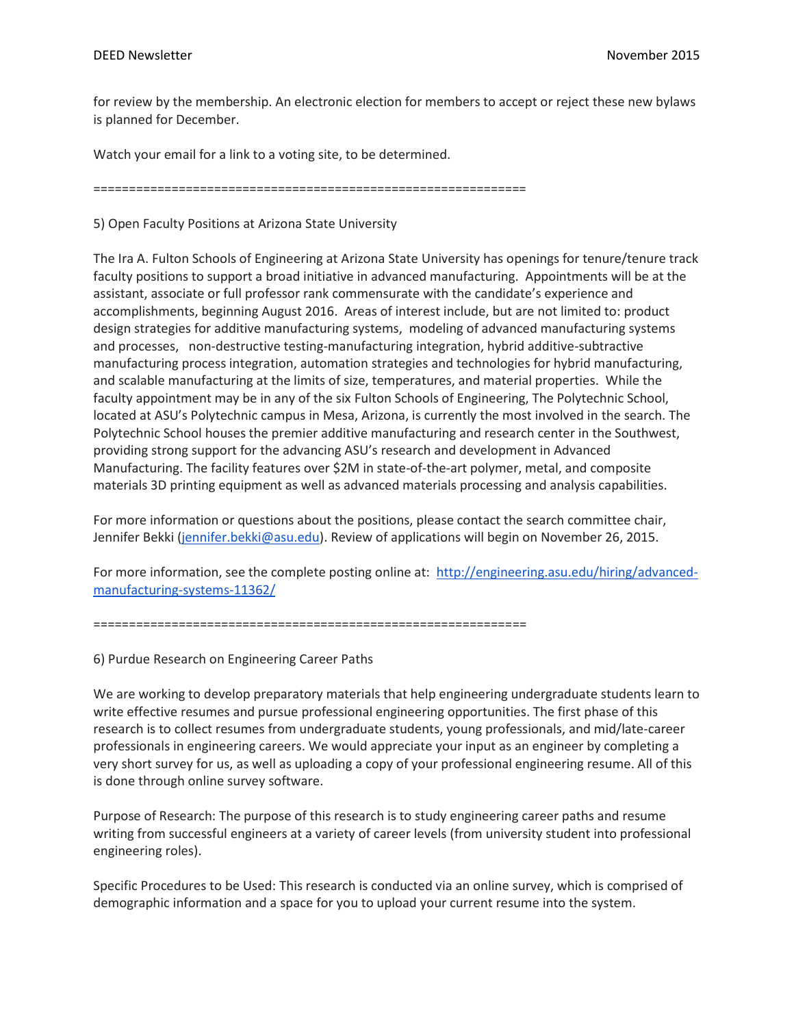for review by the membership. An electronic election for members to accept or reject these new bylaws is planned for December.

Watch your email for a link to a voting site, to be determined.

=============================================================

5) Open Faculty Positions at Arizona State University

The Ira A. Fulton Schools of Engineering at Arizona State University has openings for tenure/tenure track faculty positions to support a broad initiative in advanced manufacturing. Appointments will be at the assistant, associate or full professor rank commensurate with the candidate's experience and accomplishments, beginning August 2016. Areas of interest include, but are not limited to: product design strategies for additive manufacturing systems, modeling of advanced manufacturing systems and processes, non-destructive testing-manufacturing integration, hybrid additive-subtractive manufacturing process integration, automation strategies and technologies for hybrid manufacturing, and scalable manufacturing at the limits of size, temperatures, and material properties. While the faculty appointment may be in any of the six Fulton Schools of Engineering, The Polytechnic School, located at ASU's Polytechnic campus in Mesa, Arizona, is currently the most involved in the search. The Polytechnic School houses the premier additive manufacturing and research center in the Southwest, providing strong support for the advancing ASU's research and development in Advanced Manufacturing. The facility features over \$2M in state-of-the-art polymer, metal, and composite materials 3D printing equipment as well as advanced materials processing and analysis capabilities.

For more information or questions about the positions, please contact the search committee chair, Jennifer Bekki [\(jennifer.bekki@asu.edu\)](mailto:jennifer.bekki@asu.edu). Review of applications will begin on November 26, 2015.

For more information, see the complete posting online at: [http://engineering.asu.edu/hiring/advanced](http://engineering.asu.edu/hiring/advanced-manufacturing-systems-11362/)[manufacturing-systems-11362/](http://engineering.asu.edu/hiring/advanced-manufacturing-systems-11362/)

=============================================================

6) Purdue Research on Engineering Career Paths

We are working to develop preparatory materials that help engineering undergraduate students learn to write effective resumes and pursue professional engineering opportunities. The first phase of this research is to collect resumes from undergraduate students, young professionals, and mid/late-career professionals in engineering careers. We would appreciate your input as an engineer by completing a very short survey for us, as well as uploading a copy of your professional engineering resume. All of this is done through online survey software.

Purpose of Research: The purpose of this research is to study engineering career paths and resume writing from successful engineers at a variety of career levels (from university student into professional engineering roles).

Specific Procedures to be Used: This research is conducted via an online survey, which is comprised of demographic information and a space for you to upload your current resume into the system.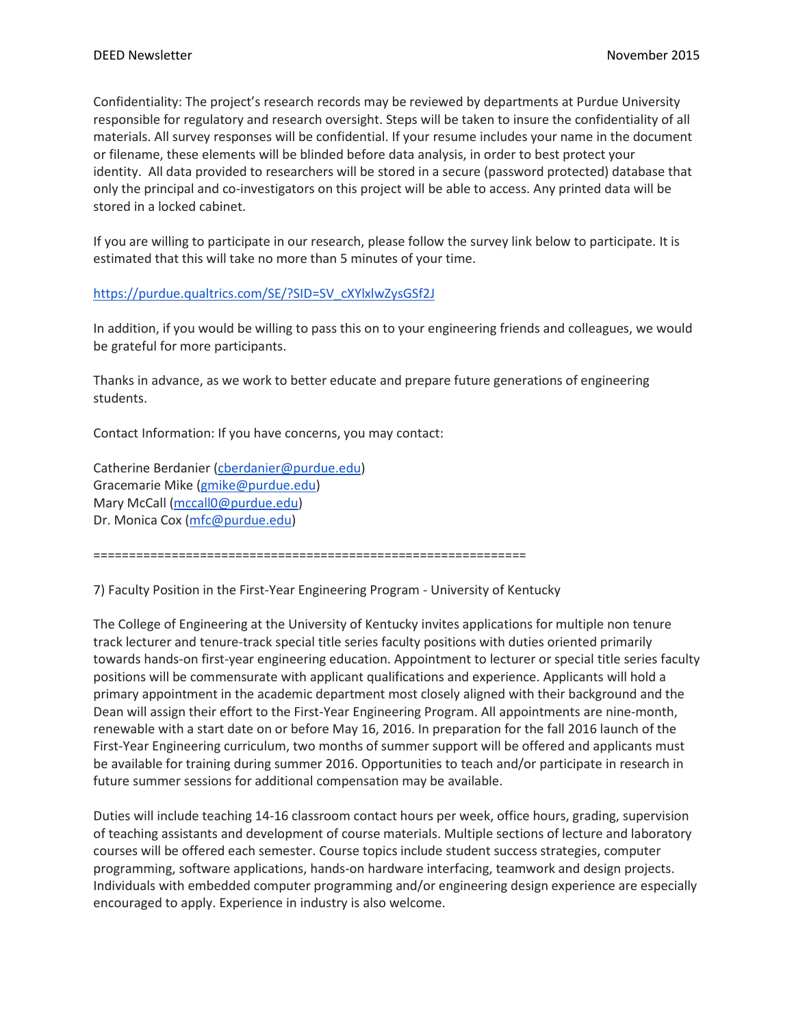Confidentiality: The project's research records may be reviewed by departments at Purdue University responsible for regulatory and research oversight. Steps will be taken to insure the confidentiality of all materials. All survey responses will be confidential. If your resume includes your name in the document or filename, these elements will be blinded before data analysis, in order to best protect your identity. All data provided to researchers will be stored in a secure (password protected) database that only the principal and co-investigators on this project will be able to access. Any printed data will be stored in a locked cabinet.

If you are willing to participate in our research, please follow the survey link below to participate. It is estimated that this will take no more than 5 minutes of your time.

# [https://purdue.qualtrics.com/SE/?SID=SV\\_cXYlxlwZysGSf2J](https://purdue.qualtrics.com/SE/?SID=SV_cXYlxlwZysGSf2J)

In addition, if you would be willing to pass this on to your engineering friends and colleagues, we would be grateful for more participants.

Thanks in advance, as we work to better educate and prepare future generations of engineering students.

Contact Information: If you have concerns, you may contact:

Catherine Berdanier [\(cberdanier@purdue.edu\)](mailto:cberdanier@purdue.edu) Gracemarie Mike [\(gmike@purdue.edu\)](mailto:gmike@purdue.edu) Mary McCall [\(mccall0@purdue.edu\)](mailto:mccall0@purdue.edu) Dr. Monica Cox [\(mfc@purdue.edu\)](mailto:mfc@purdue.edu)

=============================================================

7) Faculty Position in the First-Year Engineering Program - University of Kentucky

The College of Engineering at the University of Kentucky invites applications for multiple non tenure track lecturer and tenure-track special title series faculty positions with duties oriented primarily towards hands-on first-year engineering education. Appointment to lecturer or special title series faculty positions will be commensurate with applicant qualifications and experience. Applicants will hold a primary appointment in the academic department most closely aligned with their background and the Dean will assign their effort to the First-Year Engineering Program. All appointments are nine-month, renewable with a start date on or before May 16, 2016. In preparation for the fall 2016 launch of the First-Year Engineering curriculum, two months of summer support will be offered and applicants must be available for training during summer 2016. Opportunities to teach and/or participate in research in future summer sessions for additional compensation may be available.

Duties will include teaching 14-16 classroom contact hours per week, office hours, grading, supervision of teaching assistants and development of course materials. Multiple sections of lecture and laboratory courses will be offered each semester. Course topics include student success strategies, computer programming, software applications, hands-on hardware interfacing, teamwork and design projects. Individuals with embedded computer programming and/or engineering design experience are especially encouraged to apply. Experience in industry is also welcome.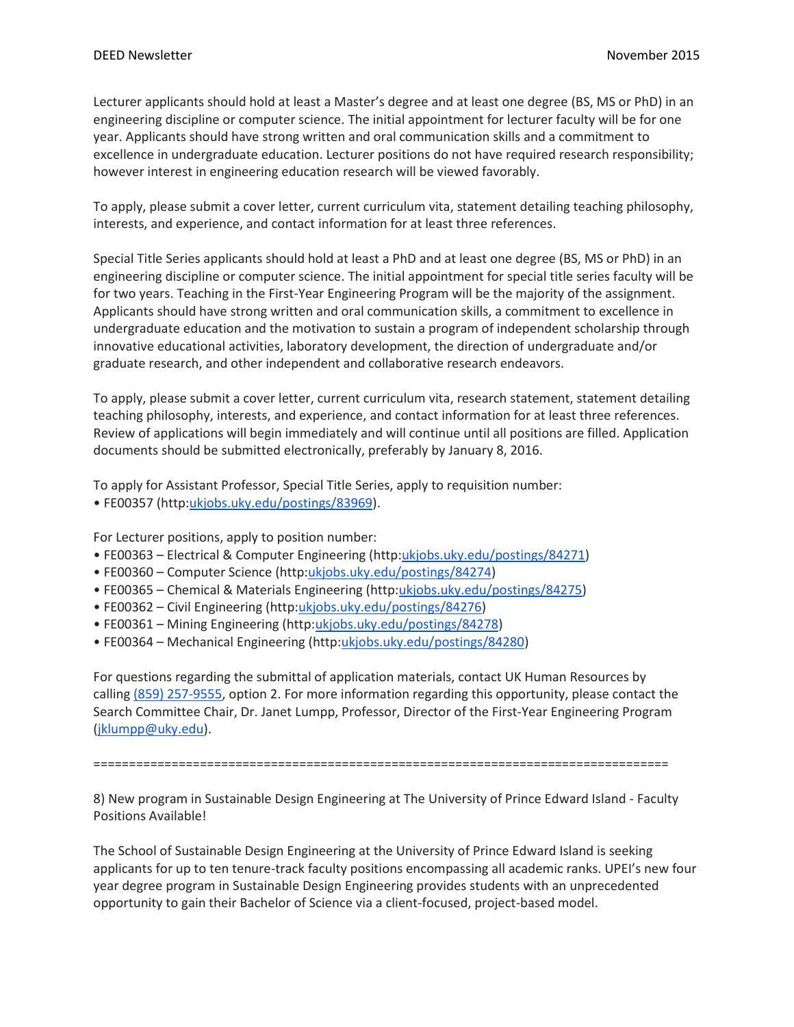Lecturer applicants should hold at least a Master's degree and at least one degree (BS, MS or PhD) in an engineering discipline or computer science. The initial appointment for lecturer faculty will be for one year. Applicants should have strong written and oral communication skills and a commitment to excellence in undergraduate education. Lecturer positions do not have required research responsibility; however interest in engineering education research will be viewed favorably.

To apply, please submit a cover letter, current curriculum vita, statement detailing teaching philosophy, interests, and experience, and contact information for at least three references.

Special Title Series applicants should hold at least a PhD and at least one degree (BS, MS or PhD) in an engineering discipline or computer science. The initial appointment for special title series faculty will be for two years. Teaching in the First-Year Engineering Program will be the majority of the assignment. Applicants should have strong written and oral communication skills, a commitment to excellence in undergraduate education and the motivation to sustain a program of independent scholarship through innovative educational activities, laboratory development, the direction of undergraduate and/or graduate research, and other independent and collaborative research endeavors.

To apply, please submit a cover letter, current curriculum vita, research statement, statement detailing teaching philosophy, interests, and experience, and contact information for at least three references. Review of applications will begin immediately and will continue until all positions are filled. Application documents should be submitted electronically, preferably by January 8, 2016.

To apply for Assistant Professor, Special Title Series, apply to requisition number: • FE00357 (http:[ukjobs.uky.edu/postings/83969\)](http://ukjobs.uky.edu/postings/83969).

For Lecturer positions, apply to position number:

- FE00363 Electrical & Computer Engineering (http[:ukjobs.uky.edu/postings/84271\)](http://ukjobs.uky.edu/postings/84271)
- FE00360 Computer Science (http[:ukjobs.uky.edu/postings/84274\)](http://ukjobs.uky.edu/postings/84274)
- FE00365 Chemical & Materials Engineering (http[:ukjobs.uky.edu/postings/84275\)](http://ukjobs.uky.edu/postings/84275)
- FE00362 Civil Engineering (http[:ukjobs.uky.edu/postings/84276\)](http://ukjobs.uky.edu/postings/84276)
- FE00361 Mining Engineering (http[:ukjobs.uky.edu/postings/84278\)](http://ukjobs.uky.edu/postings/84278)
- FE00364 Mechanical Engineering (http[:ukjobs.uky.edu/postings/84280\)](http://ukjobs.uky.edu/postings/84280)

For questions regarding the submittal of application materials, contact UK Human Resources by calling [\(859\) 257-9555,](tel:%28859%29%20257-9555) option 2. For more information regarding this opportunity, please contact the Search Committee Chair, Dr. Janet Lumpp, Professor, Director of the First-Year Engineering Program [\(jklumpp@uky.edu\)](mailto:jklumpp@uky.edu).

=================================================================================

8) New program in Sustainable Design Engineering at The University of Prince Edward Island - Faculty Positions Available!

The School of Sustainable Design Engineering at the University of Prince Edward Island is seeking applicants for up to ten tenure-track faculty positions encompassing all academic ranks. UPEI's new four year degree program in Sustainable Design Engineering provides students with an unprecedented opportunity to gain their Bachelor of Science via a client-focused, project-based model.